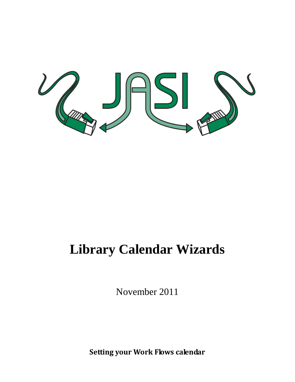

## **Library Calendar Wizards**

November 2011

**Setting your Work Flows calendar**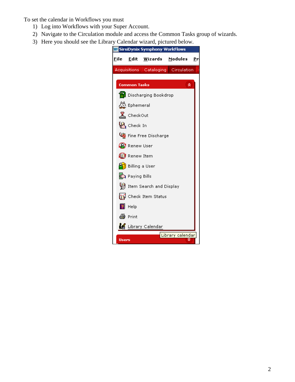To set the calendar in Workflows you must

- 1) Log into Workflows with your Super Account.
- 2) Navigate to the Circulation module and access the Common Tasks group of wizards.
- 3) Here you should see the Library Calendar wizard, pictured below.

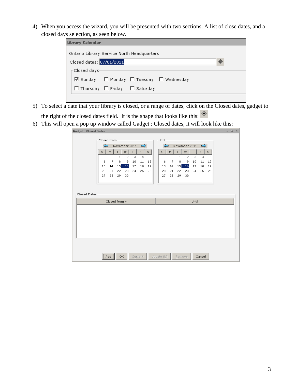4) When you access the wizard, you will be presented with two sections. A list of close dates, and a closed days selection, as seen below.

| Library Calendar                           |   |
|--------------------------------------------|---|
| Ontario Library Service North Headquarters |   |
| Closed dates: 07/01/2011                   | ◈ |
| $\sqsubset$ Closed days:                   |   |
| ☑ Sunday □ Monday □ Tuesday □ Wednesday    |   |
| □ Thursday □ Friday □ Saturday             |   |
|                                            |   |

- 5) To select a date that your library is closed, or a range of dates, click on the Closed dates, gadget to the right of the closed dates field. It is the shape that looks like this:  $*$
- 6) This will open a pop up window called Gadget : Closed dates, it will look like this:

| <b>Gadget: Closed Dates</b> |              |                                    |              |                |               |                |      |                         |    |              |                             |       |                |                           |  | $   \times$ |
|-----------------------------|--------------|------------------------------------|--------------|----------------|---------------|----------------|------|-------------------------|----|--------------|-----------------------------|-------|----------------|---------------------------|--|-------------|
|                             |              |                                    |              |                |               |                |      |                         |    |              |                             |       |                |                           |  |             |
|                             | Closed from: |                                    |              |                |               |                |      | $\sqcap$ Until $\sqcap$ |    |              |                             |       |                |                           |  |             |
|                             | ⇦            |                                    |              |                | November 2011 | $\Rightarrow$  |      | ⇦                       |    |              | November 2011 $\Rightarrow$ |       |                |                           |  |             |
|                             | s.           | M                                  | T.           | W.             | T.            | F I            | S    | s.                      | M  | T.           | W.                          | T.    | F              | $\mathbb{S}^{\mathbb{Z}}$ |  |             |
|                             |              |                                    | $\mathbf{1}$ | $\overline{c}$ | 3             | $\overline{4}$ | 5    |                         |    | $\mathbf{1}$ | $\overline{c}$              | 3     | $\overline{4}$ | 5                         |  |             |
|                             | 6            | $\overline{7}$                     | 8            | 9              | 10            | 11             | 12   | 6                       | 7  | 8            | 9                           | 10    | 11             | 12                        |  |             |
|                             | 13           | 14                                 | 15           | 16             | 17            | 18             | 19   | 13                      | 14 | 15           | 16                          | 17    | 18             | 19                        |  |             |
|                             | 20           | 21                                 | 22           |                | 23 24         | 25             | - 26 | 20                      | 21 | 22           | 23                          | 24    | 25             | 26                        |  |             |
|                             | 27           | 28                                 | 29           | 30             |               |                |      | 27                      | 28 | 29           | 30                          |       |                |                           |  |             |
|                             |              |                                    |              |                |               |                |      |                         |    |              |                             |       |                |                           |  |             |
|                             |              |                                    |              |                |               |                |      |                         |    |              |                             |       |                |                           |  |             |
| Closed Dates-               |              |                                    |              |                |               |                |      |                         |    |              |                             |       |                |                           |  |             |
|                             |              | Closed from »                      |              |                |               |                |      |                         |    |              |                             | Until |                |                           |  |             |
|                             |              |                                    |              |                |               |                |      |                         |    |              |                             |       |                |                           |  |             |
|                             |              |                                    |              |                |               |                |      |                         |    |              |                             |       |                |                           |  |             |
|                             |              |                                    |              |                |               |                |      |                         |    |              |                             |       |                |                           |  |             |
|                             |              |                                    |              |                |               |                |      |                         |    |              |                             |       |                |                           |  |             |
|                             |              |                                    |              |                |               |                |      |                         |    |              |                             |       |                |                           |  |             |
|                             |              |                                    |              |                |               |                |      |                         |    |              |                             |       |                |                           |  |             |
|                             |              |                                    |              |                |               |                |      |                         |    |              |                             |       |                |                           |  |             |
|                             |              |                                    |              |                |               |                |      |                         |    |              |                             |       |                |                           |  |             |
|                             |              |                                    |              |                |               |                |      |                         |    |              |                             |       |                |                           |  |             |
|                             |              |                                    |              |                |               |                |      |                         |    |              |                             |       |                |                           |  |             |
|                             |              | ,,,,,,,,,,,,,,,,,,,,<br><u>Add</u> |              | QK             |               | Current        |      | Update $(b)$            |    |              | Remove                      |       | Cancel         |                           |  |             |
|                             |              |                                    |              |                |               |                |      |                         |    |              |                             |       |                |                           |  |             |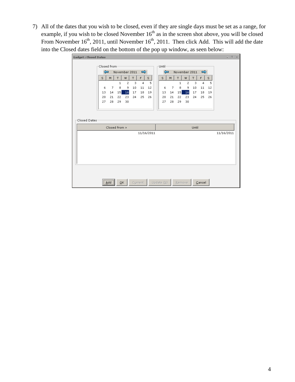7) All of the dates that you wish to be closed, even if they are single days must be set as a range, for example, if you wish to be closed November  $16<sup>th</sup>$  as in the screen shot above, you will be closed From November  $16<sup>th</sup>$ , 2011, until November  $16<sup>th</sup>$ , 2011. Then click Add. This will add the date into the Closed dates field on the bottom of the pop up window, as seen below:

| <b>Gadget: Closed Dates</b> |              |                            |          |              |                             |                |            |                          |          |          |               |          |                |          |            | $= \quad \Box \quad \times$ |
|-----------------------------|--------------|----------------------------|----------|--------------|-----------------------------|----------------|------------|--------------------------|----------|----------|---------------|----------|----------------|----------|------------|-----------------------------|
|                             | Closed from: |                            |          |              |                             |                |            | -Until-                  |          |          |               |          |                |          |            |                             |
|                             |              |                            |          |              |                             |                |            |                          |          |          |               |          |                |          |            |                             |
|                             | ⇦            |                            |          |              | November 2011 $\Rightarrow$ |                |            | ⇦                        |          |          | November 2011 |          | $\Rightarrow$  |          |            |                             |
|                             | s            | M.                         | т        | W            | T.                          | F              | s.         | s.                       | M.       | т        | W             | T        | F.             | s.       |            |                             |
|                             |              |                            | 1        | $\mathbf{2}$ | 3                           | $\overline{4}$ | 5          |                          |          | 1        | 2             | 3        | $\overline{4}$ | 5        |            |                             |
|                             | 6            | 7                          | 8        | 9            | 10                          | 11             | 12         | 6                        | 7        | 8        | 9             | 10       | 11             | 12       |            |                             |
|                             | 13<br>20     | 14<br>21                   | 15<br>22 | 16<br>23     | 17<br>24                    | 18<br>25       | 19<br>26   | 13<br>20                 | 14<br>21 | 15<br>22 | 16<br>23      | 17<br>24 | 18<br>25       | 19<br>26 |            |                             |
|                             | 27           | 28                         | 29       | 30           |                             |                |            | 27                       | 28       | 29       | 30            |          |                |          |            |                             |
|                             |              |                            |          |              |                             |                |            |                          |          |          |               |          |                |          |            |                             |
|                             |              |                            |          |              |                             |                |            |                          |          |          |               |          |                |          |            |                             |
|                             |              |                            |          |              |                             |                |            |                          |          |          |               |          |                |          |            |                             |
| Closed Dates                |              |                            |          |              |                             |                |            |                          |          |          |               |          |                |          |            |                             |
|                             |              | Closed from »              |          |              |                             |                |            |                          |          |          |               | Until    |                |          |            |                             |
|                             |              |                            |          |              |                             |                | 11/16/2011 |                          |          |          |               |          |                |          | 11/16/2011 |                             |
|                             |              |                            |          |              |                             |                |            |                          |          |          |               |          |                |          |            |                             |
|                             |              |                            |          |              |                             |                |            |                          |          |          |               |          |                |          |            |                             |
|                             |              |                            |          |              |                             |                |            |                          |          |          |               |          |                |          |            |                             |
|                             |              |                            |          |              |                             |                |            |                          |          |          |               |          |                |          |            |                             |
|                             |              |                            |          |              |                             |                |            |                          |          |          |               |          |                |          |            |                             |
|                             |              |                            |          |              |                             |                |            |                          |          |          |               |          |                |          |            |                             |
|                             |              |                            |          |              |                             |                |            |                          |          |          |               |          |                |          |            |                             |
|                             |              |                            |          |              |                             |                |            |                          |          |          |               |          |                |          |            |                             |
|                             |              |                            | QK       |              |                             | Current        |            | Update $(\underline{b})$ |          | Remove   |               |          | Cancel         |          |            |                             |
|                             |              | $\underline{\mathsf{Add}}$ |          |              |                             |                |            |                          |          |          |               |          |                |          |            |                             |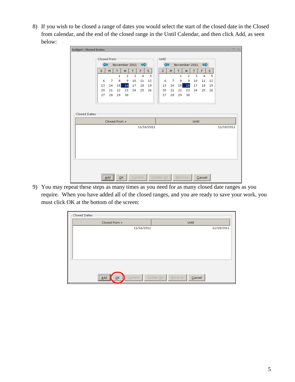8) If you wish to be closed a range of dates you would select the start of the closed date in the Closed from calendar, and the end of the closed range in the Until Calendar, and then click Add, as seen below:

| <b>Gadget: Closed Dates</b>             |                                                |                                                                      |                   |                     |         |                      |            |  |                                     |    |                   |                     |         |         |         |            | $ \Box$ $\times$ |
|-----------------------------------------|------------------------------------------------|----------------------------------------------------------------------|-------------------|---------------------|---------|----------------------|------------|--|-------------------------------------|----|-------------------|---------------------|---------|---------|---------|------------|------------------|
| Closed from:<br>$\sqcap$ Until $\sqcap$ |                                                |                                                                      |                   |                     |         |                      |            |  |                                     |    |                   |                     |         |         |         |            |                  |
|                                         | $\Leftarrow$<br>November 2011<br>$\Rightarrow$ |                                                                      |                   |                     |         |                      |            |  | ⇦<br>November 2011<br>$\Rightarrow$ |    |                   |                     |         |         |         |            |                  |
|                                         |                                                |                                                                      |                   |                     |         |                      |            |  |                                     |    |                   |                     |         |         |         |            |                  |
|                                         | s                                              | M.                                                                   | T                 | W                   | T.      | F.                   | s.         |  | S.                                  | M  | T                 | W.                  | T.      | F       | s.      |            |                  |
|                                         | 6                                              | $\overline{7}$                                                       | $\mathbf{1}$<br>8 | $\overline{c}$<br>9 | 3<br>10 | $\overline{4}$<br>11 | 5<br>12    |  | 6                                   | 7  | $\mathbf{1}$<br>8 | $\overline{c}$<br>9 | 3<br>10 | 4<br>11 | 5<br>12 |            |                  |
|                                         | 13                                             | 14                                                                   | 15                | 16                  | 17      | 18                   | 19         |  | 13                                  | 14 | 15                | 16                  | 17      | 18      | 19      |            |                  |
|                                         | 20                                             | 21                                                                   | 22                | 23                  | 24      | 25                   | 26         |  | 20                                  | 21 | 22                | 23                  | 24      | 25      | 26      |            |                  |
|                                         | 27                                             | 28                                                                   | 29                | 30                  |         |                      |            |  | 27                                  | 28 | 29                | 30                  |         |         |         |            |                  |
|                                         |                                                |                                                                      |                   |                     |         |                      |            |  |                                     |    |                   |                     |         |         |         |            |                  |
|                                         |                                                |                                                                      |                   |                     |         |                      |            |  |                                     |    |                   |                     |         |         |         |            |                  |
|                                         |                                                |                                                                      |                   |                     |         |                      |            |  |                                     |    |                   |                     |         |         |         |            |                  |
| Closed Dates                            |                                                |                                                                      |                   |                     |         |                      |            |  |                                     |    |                   |                     |         |         |         |            |                  |
|                                         |                                                | Closed from »                                                        |                   |                     |         |                      |            |  |                                     |    |                   |                     | Until   |         |         |            |                  |
|                                         |                                                |                                                                      |                   |                     |         |                      | 11/16/2011 |  |                                     |    |                   |                     |         |         |         | 11/18/2011 |                  |
|                                         |                                                |                                                                      |                   |                     |         |                      |            |  |                                     |    |                   |                     |         |         |         |            |                  |
|                                         |                                                |                                                                      |                   |                     |         |                      |            |  |                                     |    |                   |                     |         |         |         |            |                  |
|                                         |                                                |                                                                      |                   |                     |         |                      |            |  |                                     |    |                   |                     |         |         |         |            |                  |
|                                         |                                                |                                                                      |                   |                     |         |                      |            |  |                                     |    |                   |                     |         |         |         |            |                  |
|                                         |                                                |                                                                      |                   |                     |         |                      |            |  |                                     |    |                   |                     |         |         |         |            |                  |
|                                         |                                                |                                                                      |                   |                     |         |                      |            |  |                                     |    |                   |                     |         |         |         |            |                  |
|                                         |                                                |                                                                      |                   |                     |         |                      |            |  |                                     |    |                   |                     |         |         |         |            |                  |
|                                         |                                                |                                                                      |                   |                     |         |                      |            |  |                                     |    |                   |                     |         |         |         |            |                  |
|                                         |                                                | <br>$\underline{\overset{\text{Add}}{\vphantom{\rule{1pt}{5.5pt}}}}$ |                   | QK                  |         | Current              |            |  | Update $(\underline{b})$            |    |                   | Remove              |         | Cancel  |         |            |                  |

9) You may repeat these steps as many times as you need for as many closed date ranges as you require. When you have added all of the closed ranges, and you are ready to save your work, you must click OK at the bottom of the screen:

| $\sqsubset$ Closed Dates:                                |                                              |
|----------------------------------------------------------|----------------------------------------------|
| Closed from »                                            | Until                                        |
| 11/16/2011                                               | 11/18/2011                                   |
|                                                          |                                              |
|                                                          |                                              |
|                                                          |                                              |
|                                                          |                                              |
|                                                          |                                              |
|                                                          |                                              |
|                                                          |                                              |
| ;<br>$\overline{\mathsf{O}}\mathsf{K}$<br>Current<br>Add | Update $(\underline{b})$<br>Cancel<br>Remove |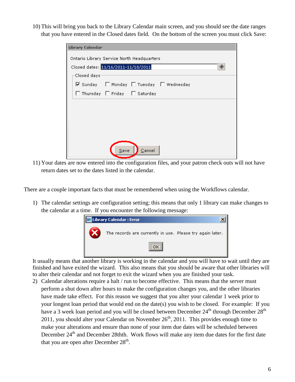10) This will bring you back to the Library Calendar main screen, and you should see the date ranges that you have entered in the Closed dates field. On the bottom of the screen you must click Save:

| Library Calendar |                                            |                                |                                         |  |  |  |  |  |  |  |
|------------------|--------------------------------------------|--------------------------------|-----------------------------------------|--|--|--|--|--|--|--|
|                  | Ontario Library Service North Headquarters |                                |                                         |  |  |  |  |  |  |  |
|                  | ◈<br>Closed dates: 11/16/2011-11/18/2011   |                                |                                         |  |  |  |  |  |  |  |
| Closed days:     |                                            |                                |                                         |  |  |  |  |  |  |  |
|                  |                                            |                                | ☑ Sunday I Monday I Tuesday I Wednesday |  |  |  |  |  |  |  |
|                  |                                            | □ Thursday □ Friday □ Saturday |                                         |  |  |  |  |  |  |  |
|                  |                                            |                                |                                         |  |  |  |  |  |  |  |
|                  |                                            |                                |                                         |  |  |  |  |  |  |  |
|                  |                                            |                                |                                         |  |  |  |  |  |  |  |
|                  |                                            |                                |                                         |  |  |  |  |  |  |  |
|                  |                                            |                                |                                         |  |  |  |  |  |  |  |
|                  | Save<br>Cancel                             |                                |                                         |  |  |  |  |  |  |  |
|                  |                                            |                                |                                         |  |  |  |  |  |  |  |

11) Your dates are now entered into the configuration files, and your patron check outs will not have return dates set to the dates listed in the calendar.

There are a couple important facts that must be remembered when using the Workflows calendar.

1) The calendar settings are configuration setting; this means that only 1 library can make changes to the calendar at a time. If you encounter the following message:



It usually means that another library is working in the calendar and you will have to wait until they are finished and have exited the wizard. This also means that you should be aware that other libraries will to alter their calendar and not forget to exit the wizard when you are finished your task.

2) Calendar alterations require a halt / run to become effective. This means that the server must perform a shut down after hours to make the configuration changes you, and the other libraries have made take effect. For this reason we suggest that you alter your calendar 1 week prior to your longest loan period that would end on the date(s) you wish to be closed. For example: If you have a 3 week loan period and you will be closed between December 24<sup>th</sup> through December 28<sup>th</sup> 2011, you should alter your Calendar on November  $26<sup>th</sup>$ , 2011. This provides enough time to make your alterations and ensure than none of your item due dates will be scheduled between December 24<sup>th</sup> and December 28thth. Work flows will make any item due dates for the first date that you are open after December  $28<sup>th</sup>$ .